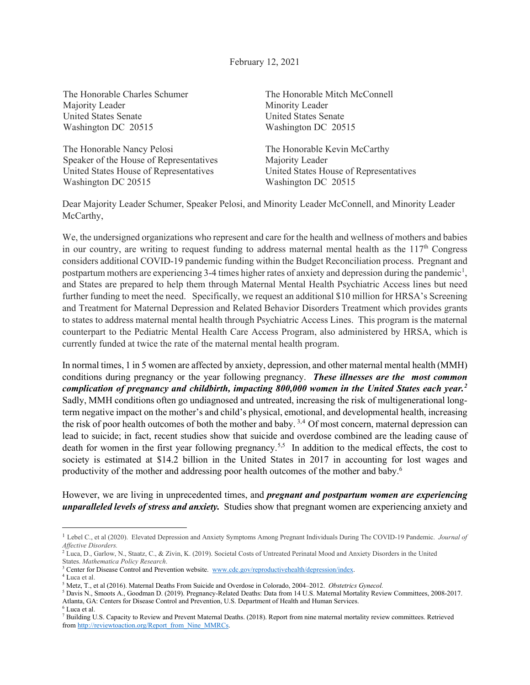February 12, 2021

The Honorable Charles Schumer Majority Leader United States Senate Washington DC 20515

The Honorable Nancy Pelosi Speaker of the House of Representatives United States House of Representatives Washington DC 20515

The Honorable Mitch McConnell Minority Leader United States Senate Washington DC 20515

The Honorable Kevin McCarthy Majority Leader United States House of Representatives Washington DC 20515

Dear Majority Leader Schumer, Speaker Pelosi, and Minority Leader McConnell, and Minority Leader McCarthy,

We, the undersigned organizations who represent and care for the health and wellness of mothers and babies in our country, are writing to request funding to address maternal mental health as the  $117<sup>th</sup>$  Congress considers additional COVID-19 pandemic funding within the Budget Reconciliation process. Pregnant and postpartum mothers are experiencing 3-4 times higher rates of anxiety and depression during the pandemic<sup>[1](#page-0-0)</sup>, and States are prepared to help them through Maternal Mental Health Psychiatric Access lines but need further funding to meet the need. Specifically, we request an additional \$10 million for HRSA's Screening and Treatment for Maternal Depression and Related Behavior Disorders Treatment which provides grants to states to address maternal mental health through Psychiatric Access Lines. This program is the maternal counterpart to the Pediatric Mental Health Care Access Program, also administered by HRSA, which is currently funded at twice the rate of the maternal mental health program.

In normal times, 1 in 5 women are affected by anxiety, depression, and other maternal mental health (MMH) conditions during pregnancy or the year following pregnancy. *These illnesses are the most common complication of pregnancy and childbirth, impacting 800,000 women in the United States each year.[2](#page-0-1)* Sadly, MMH conditions often go undiagnosed and untreated, increasing the risk of multigenerational longterm negative impact on the mother's and child's physical, emotional, and developmental health, increasing the risk of poor health outcomes of both the mother and baby.<sup>[3](#page-0-2),4</sup> Of most concern, maternal depression can lead to suicide; in fact, recent studies show that suicide and overdose combined are the leading cause of death for women in the first year following pregnancy.<sup>[5](#page-0-4),5</sup> In addition to the medical effects, the cost to society is estimated at \$14.2 billion in the United States in 2017 in accounting for lost wages and productivity of the mother and addressing poor health outcomes of the mother and baby.<sup>6</sup>

However, we are living in unprecedented times, and *pregnant and postpartum women are experiencing unparalleled levels of stress and anxiety.* Studies show that pregnant women are experiencing anxiety and

<span id="page-0-2"></span><sup>3</sup> Center for Disease Control and Prevention website. [www.cdc.gov/reproductivehealth/depression/index.](http://www.cdc.gov/reproductivehealth/depression/index)

<span id="page-0-0"></span><sup>1</sup> Lebel C., et al (2020). Elevated Depression and Anxiety Symptoms Among Pregnant Individuals During The COVID-19 Pandemic. *Journal of Affective Disorders.*

<span id="page-0-1"></span><sup>2</sup> Luca, D., Garlow, N., Staatz, C., & Zivin, K. (2019). Societal Costs of Untreated Perinatal Mood and Anxiety Disorders in the United States. *Mathematica Policy Research*.

<span id="page-0-3"></span><sup>4</sup> Luca et al.

<sup>5</sup> Metz, T., et al (2016). Maternal Deaths From Suicide and Overdose in Colorado, 2004–2012. *Obstetrics Gynecol.* 

<span id="page-0-4"></span><sup>5</sup> Davis N., Smoots A., Goodman D. (2019). Pregnancy-Related Deaths: Data from 14 U.S. Maternal Mortality Review Committees, 2008-2017. Atlanta, GA: Centers for Disease Control and Prevention, U.S. Department of Health and Human Services. 6 Luca et al.

<sup>7</sup> Building U.S. Capacity to Review and Prevent Maternal Deaths. (2018). Report from nine maternal mortality review committees. Retrieved fro[m http://reviewtoaction.org/Report\\_from\\_Nine\\_MMRCs.](http://reviewtoaction.org/Report_from_Nine_MMRCs)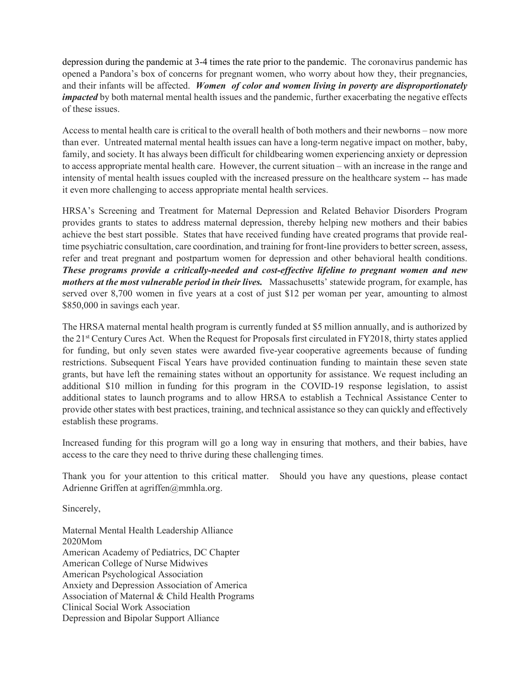depression during the pandemic at 3-4 times the rate prior to the pandemic. The coronavirus pandemic has opened a Pandora's box of concerns for pregnant women, who worry about how they, their pregnancies, and their infants will be affected. *Women of color and women living in poverty are disproportionately impacted* by both maternal mental health issues and the pandemic, further exacerbating the negative effects of these issues.

Access to mental health care is critical to the overall health of both mothers and their newborns – now more than ever. Untreated maternal mental health issues can have a long-term negative impact on mother, baby, family, and society. It has always been difficult for childbearing women experiencing anxiety or depression to access appropriate mental health care. However, the current situation – with an increase in the range and intensity of mental health issues coupled with the increased pressure on the healthcare system -- has made it even more challenging to access appropriate mental health services.

HRSA's Screening and Treatment for Maternal Depression and Related Behavior Disorders Program provides grants to states to address maternal depression, thereby helping new mothers and their babies achieve the best start possible. States that have received funding have created programs that provide realtime psychiatric consultation, care coordination, and training for front-line providers to better screen, assess, refer and treat pregnant and postpartum women for depression and other behavioral health conditions. *These programs provide a critically-needed and cost-effective lifeline to pregnant women and new mothers at the most vulnerable period in their lives.* Massachusetts' statewide program, for example, has served over 8,700 women in five years at a cost of just \$12 per woman per year, amounting to almost \$850,000 in savings each year.

The HRSA maternal mental health program is currently funded at \$5 million annually, and is authorized by the 21st Century Cures Act. When the Request for Proposals first circulated in FY2018, thirty states applied for funding, but only seven states were awarded five-year cooperative agreements because of funding restrictions. Subsequent Fiscal Years have provided continuation funding to maintain these seven state grants, but have left the remaining states without an opportunity for assistance. We request including an additional \$10 million in funding for this program in the COVID-19 response legislation, to assist additional states to launch programs and to allow HRSA to establish a Technical Assistance Center to provide other states with best practices, training, and technical assistance so they can quickly and effectively establish these programs.

Increased funding for this program will go a long way in ensuring that mothers, and their babies, have access to the care they need to thrive during these challenging times.

Thank you for your attention to this critical matter. Should you have any questions, please contact Adrienne Griffen at agriffen@mmhla.org.

Sincerely,

Maternal Mental Health Leadership Alliance 2020Mom American Academy of Pediatrics, DC Chapter American College of Nurse Midwives American Psychological Association Anxiety and Depression Association of America Association of Maternal & Child Health Programs Clinical Social Work Association Depression and Bipolar Support Alliance